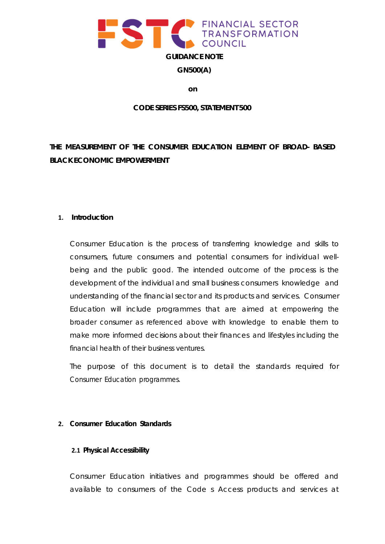

**GN500(A)**

**on**

## **CODE SERIES FS500, STATEMENT 500**

**THE MEASUREMENT OF THE CONSUMER EDUCATION ELEMENT OF BROAD- BASED BLACK ECONOMIC EMPOWERMENT**

## **1. Introduction**

Consumer Education is the process of transferring knowledge and skills to consumers, future consumers and potential consumers for individual wellbeing and the public good. The intended outcome of the process is the development of the individual and small business consumers knowledge and understanding of the financial sector and its products and services. Consumer Education will include programmes that are aimed at empowering the broader consumer as referenced above with knowledge to enable them to make more informed decisions about their finances and lifestyles including the financial health of their business ventures.

The purpose of this document is to detail the standards required for Consumer Education programmes.

# **2. Consumer Education Standards**

# **2.1 Physical Accessibility**

Consumer Education initiatives and programmes should be offered and available to consumers of the Code s Access products and services at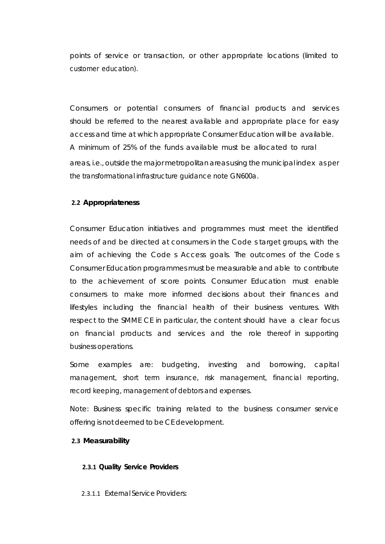points of service or transaction, or other appropriate locations (limited to customer education).

Consumers or potential consumers of financial products and services should be referred to the nearest available and appropriate place for easy access and time at which appropriate Consumer Education will be available. A minimum of 25% of the funds available must be allocated to rural areas, i.e., outside the major metropolitanareas using the municipal index as per the transformational infrastructure guidance note GN600a.

## **2.2 Appropriateness**

Consumer Education initiatives and programmes must meet the identified needs of and be directed at consumers in the Code s target groups, with the aim of achieving the Code s Access goals. The outcomes of the Code s Consumer Education programmes must be measurable and able to contribute to the achievement of score points. Consumer Education must enable consumers to make more informed decisions about their finances and lifestyles including the financial health of their business ventures. With respect to the SMME CE in particular, the content should have a clear focus on financial products and services and the role thereof in supporting business operations.

Some examples are: budgeting, investing and borrowing, capital management, short term insurance, risk management, financial reporting, record keeping, management of debtors and expenses.

Note: Business specific training related to the business consumer service offering is not deemed to be CE development.

### **2.3 Measurability**

### **2.3.1 Quality Service Providers**

2.3.1.1 External Service Providers: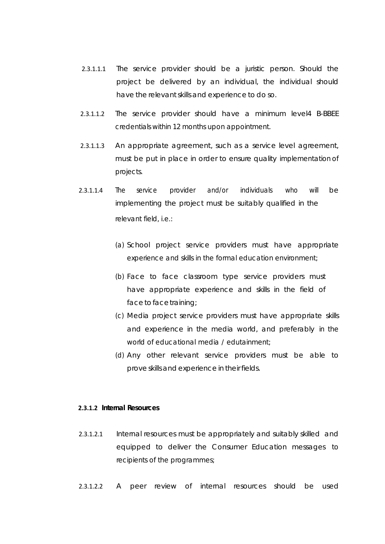- 2.3.1.1.1 The service provider should be a juristic person. Should the project be delivered by an individual, the individual should have the relevant skills and experience to do so.
- 2.3.1.1.2 The service provider should have a minimum level4 B-BBEE credentials within 12 months upon appointment.
- 2.3.1.1.3 An appropriate agreement, such as a service level agreement, must be put in place in order to ensure quality implementation of projects.
- 2.3.1.1.4 The service provider and/or individuals who will be implementing the project must be suitably qualified in the relevant field, i.e.:
	- (a) School project service providers must have appropriate experience and skills in the formal education environment;
	- (b) Face to face classroom type service providers must have appropriate experience and skills in the field of face to face training;
	- (c) Media project service providers must have appropriate skills and experience in the media world, and preferably in the world of educational media / edutainment;
	- (d) Any other relevant service providers must be able to prove skills and experience in their fields.

### **2.3.1.2 Internal Resources**

- 2.3.1.2.1 Internal resources must be appropriately and suitably skilled and equipped to deliver the Consumer Education messages to recipients of the programmes;
- 2.3.1.2.2 A peer review of internal resources should be used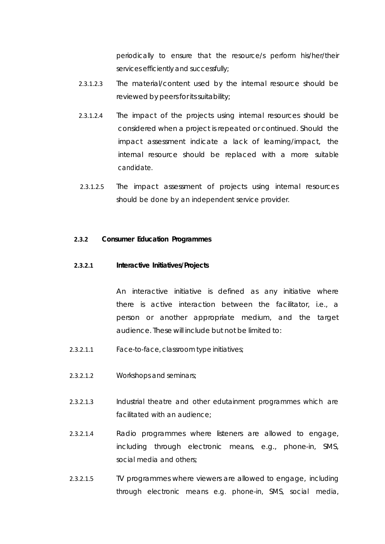periodically to ensure that the resource/s perform his/her/their services efficiently and successfully;

- 2.3.1.2.3 The material/content used by the internal resource should be reviewed by peers for its suitability;
- 2.3.1.2.4 The impact of the projects using internal resources should be considered when a project is repeated or continued. Should the impact assessment indicate a lack of learning/impact, the internal resource should be replaced with a more suitable candidate.
- 2.3.1.2.5 The impact assessment of projects using internal resources should be done by an independent service provider.

### **2.3.2 Consumer Education Programmes**

#### **2.3.2.1 Interactive Initiatives/Projects**

An interactive initiative is defined as any initiative where there is active interaction between the facilitator, i.e., a person or another appropriate medium, and the target audience. These will include but not be limited to:

- 2.3.2.1.1 Face-to-face, classroom type initiatives;
- 2.3.2.1.2 Workshops and seminars;
- 2.3.2.1.3 Industrial theatre and other edutainment programmes which are facilitated with an audience;
- 2.3.2.1.4 Radio programmes where listeners are allowed to engage, including through electronic means, e.g., phone-in, SMS, social media and others;
- 2.3.2.1.5 TV programmes where viewers are allowed to engage, including through electronic means e.g. phone-in, SMS, social media,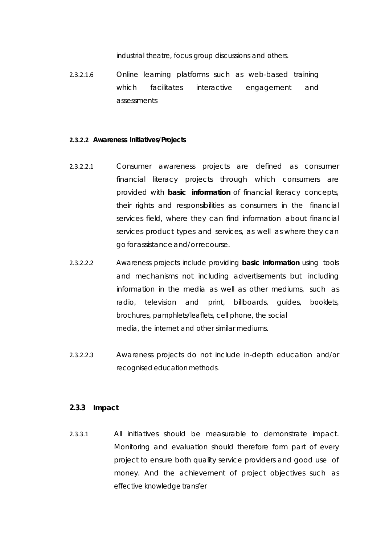industrial theatre, focus group discussions and others.

2.3.2.1.6 Online learning platforms such as web-based training which facilitates interactive engagement and assessments

### **2.3.2.2 Awareness Initiatives/Projects**

- 2.3.2.2.1 Consumer awareness projects are defined as consumer financial literacy projects through which consumers are provided with *basic information* of financial literacy concepts, their rights and responsibilities as consumers in the financial services field, where they can find information about financial services product types and services, as well as where they can goforassistanceand/or recourse.
- 2.3.2.2.2 Awareness projects include providing *basic information* using tools and mechanisms not including advertisements but including information in the media as well as other mediums, such as radio, television and print, billboards, guides, booklets, brochures, pamphlets/leaflets, cell phone, the social media, the internet and other similar mediums.
- 2.3.2.2.3 Awareness projects do not include in-depth education and/or recognised education methods.

### **2.3.3 Impact**

2.3.3.1 All initiatives should be measurable to demonstrate impact. Monitoring and evaluation should therefore form part of every project to ensure both quality service providers and good use of money. And the achievement of project objectives such as effective knowledge transfer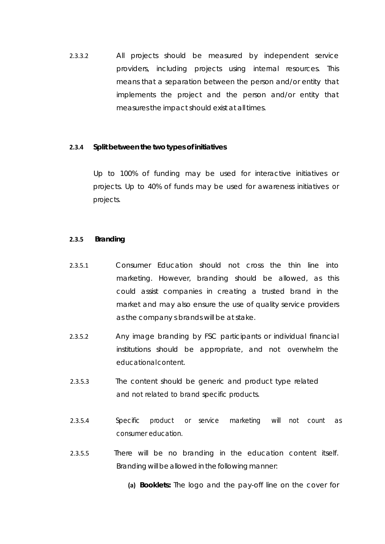2.3.3.2 All projects should be measured by independent service providers, including projects using internal resources. This means that a separation between the person and/or entity that implements the project and the person and/or entity that measuresthe impact should exist at all times.

## **2.3.4 Split between the two types of initiatives**

Up to 100% of funding may be used for interactive initiatives or projects. Up to 40% of funds may be used for awareness initiatives or projects.

### **2.3.5 Branding**

- 2.3.5.1 Consumer Education should not cross the thin line into marketing. However, branding should be allowed, as this could assist companies in creating a trusted brand in the market and may also ensure the use of quality service providers as the company s brands will be at stake.
- 2.3.5.2 Any image branding by FSC participants or individual financial institutions should be appropriate, and not overwhelm the educationalcontent.
- 2.3.5.3 The content should be generic and product type related and not related to brand specific products.
- 2.3.5.4 Specific product or service marketing will not count as consumer education.
- 2.3.5.5 There will be no branding in the education content itself. Branding will be allowed in the following manner:

**(a) Booklets:** The logo and the pay-off line on the cover for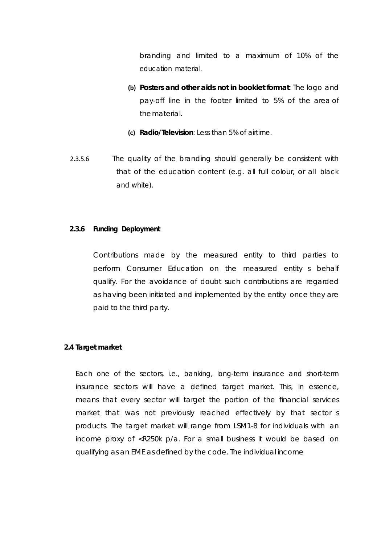branding and limited to a maximum of 10% of the education material.

- **(b) Posters and other aids not in booklet format**: The logo and pay-off line in the footer limited to 5% of the area of thematerial.
- **(c) Radio/Television**: Less than 5% of airtime.
- 2.3.5.6 The quality of the branding should generally be consistent with that of the education content (e.g. all full colour, or all black and white).

# **2.3.6 Funding Deployment**

Contributions made by the measured entity to third parties to perform Consumer Education on the measured entity s behalf qualify. For the avoidance of doubt such contributions are regarded as having been initiated and implemented by the entity once they are paid to the third party.

### **2.4 Target market**

Each one of the sectors, i.e., banking, long-term insurance and short-term insurance sectors will have a defined target market. This, in essence, means that every sector will target the portion of the financial services market that was not previously reached effectively by that sector s products. The target market will range from LSM1-8 for individuals with an income proxy of <R250k p/a. For a small business it would be based on qualifying as an EME as defined by the code. The individual income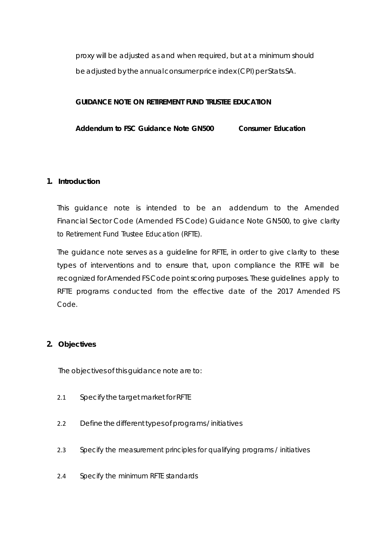proxy will be adjusted as and when required, but at a minimum should be adjusted by the annual consumer price index (CPI) per Stats SA.

# **GUIDANCE NOTE ON RETIREMENT FUND TRUSTEE EDUCATION**

**Addendum to FSC Guidance Note GN500 Consumer Education**

# **1. Introduction**

This guidance note is intended to be an addendum to the Amended Financial Sector Code (Amended FS Code) Guidance Note GN500, to give clarity to Retirement Fund Trustee Education (RFTE).

The guidance note serves as a guideline for RFTE, in order to give clarity to these types of interventions and to ensure that, upon compliance the RTFE will be recognized for AmendedFS Code point scoring purposes. These guidelines apply to RFTE programs conducted from the effective date of the 2017 Amended FS Code.

# **2. Objectives**

The objectives of this guidance note are to:

- 2.1 Specify the target market for RFTE
- 2.2 Define the different types of programs / initiatives
- 2.3 Specify the measurement principles for qualifying programs / initiatives
- 2.4 Specify the minimum RFTE standards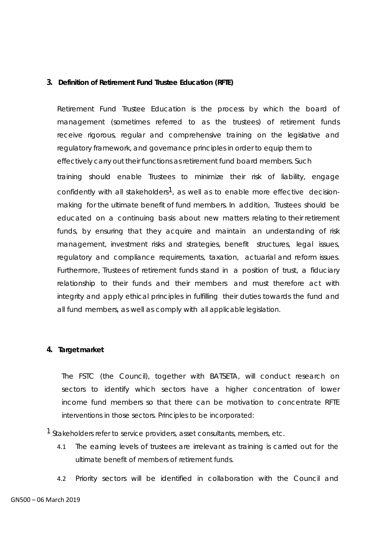## **3. Definition of Retirement Fund Trustee Education (RFTE)**

Retirement Fund Trustee Education is the process by which the board of management (sometimes referred to as the trustees) of retirement funds receive rigorous, regular and comprehensive training on the legislative and regulatory framework, and governance principles in order to equip them to effectively carry out their functions as retirement fund board members. Such training should enable Trustees to minimize their risk of liability, engage confidently with all stakeholders<sup>1</sup>, as well as to enable more effective decisionmaking for the ultimate benefit of fund members. In addition, Trustees should be educated on a continuing basis about new matters relating to their retirement funds, by ensuring that they acquire and maintain an understanding of risk management, investment risks and strategies, benefit structures, legal issues, regulatory and compliance requirements, taxation, actuarial and reform issues. Furthermore, Trustees of retirement funds stand in a position of trust, a fiduciary relationship to their funds and their members and must therefore act with integrity and apply ethical principles in fulfilling their duties towards the fund and all fund members, as well as comply with all applicable legislation.

## **4. Target market**

The FSTC (the Council), together with BATSETA, will conduct research on sectors to identify which sectors have a higher concentration of lower income fund members so that there can be motivation to concentrate RFTE interventions in those sectors. Principles to be incorporated:

<sup>1</sup> Stakeholders refer to service providers, asset consultants, members, etc.

- 4.1 The earning levels of trustees are irrelevant as training is carried out for the ultimate benefit of members of retirement funds.
- 4.2 Priority sectors will be identified in collaboration with the Council and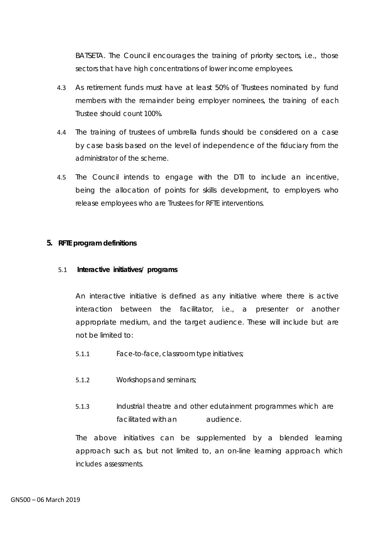BATSETA. The Council encourages the training of priority sectors, i.e., those sectors that have high concentrations of lower income employees.

- 4.3 As retirement funds must have at least 50% of Trustees nominated by fund members with the remainder being employer nominees, the training of each Trustee should count 100%.
- 4.4 The training of trustees of umbrella funds should be considered on a case by case basis based on the level of independence of the fiduciary from the administrator of the scheme.
- 4.5 The Council intends to engage with the DTI to include an incentive, being the allocation of points for skills development, to employers who release employees who are Trustees for RFTE interventions.

# **5. RFTE program definitions**

## 5.1 **Interactive initiatives/ programs**

An interactive initiative is defined as any initiative where there is active interaction between the facilitator, i.e., a presenter or another appropriate medium, and the target audience. These will include but are not be limited to:

- 5.1.1 Face-to-face, classroom type initiatives;
- 5.1.2 Workshops and seminars;
- 5.1.3 Industrial theatre and other edutainment programmes which are facilitated with an audience.

The above initiatives can be supplemented by a blended learning approach such as, but not limited to, an on-line learning approach which includes assessments.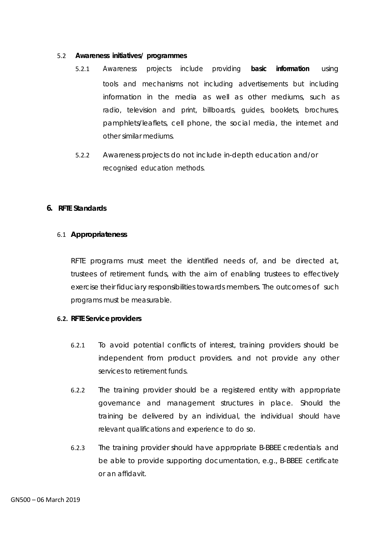## 5.2 **Awareness initiatives/ programmes**

- 5.2.1 Awareness projects include providing *basic information* using tools and mechanisms not including advertisements but including information in the media as well as other mediums, such as radio, television and print, billboards, guides, booklets, brochures, pamphlets/leaflets, cell phone, the social media, the internet and other similar mediums.
- 5.2.2 Awareness projects do not include in-depth education and/or recognised education methods.

# **6. RFTE Standards**

# 6.1 **Appropriateness**

RFTE programs must meet the identified needs of, and be directed at, trustees of retirement funds, with the aim of enabling trustees to effectively exercise their fiduciary responsibilities towards members. The outcomes of such programs must be measurable.

# **6.2. RFTE Service providers**

- 6.2.1 To avoid potential conflicts of interest, training providers should be independent from product providers. and not provide any other services to retirement funds.
- 6.2.2 The training provider should be a registered entity with appropriate governance and management structures in place. Should the training be delivered by an individual, the individual should have relevant qualifications and experience to do so.
- 6.2.3 The training provider should have appropriate B-BBEE credentials and be able to provide supporting documentation, e.g., B-BBEE certificate or an affidavit.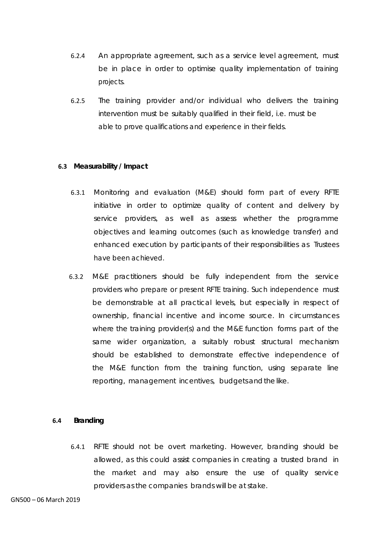- 6.2.4 An appropriate agreement, such as a service level agreement, must be in place in order to optimise quality implementation of training projects.
- 6.2.5 The training provider and/or individual who delivers the training intervention must be suitably qualified in their field, i.e. must be able to prove qualifications and experience in their fields.

## **6.3 Measurability / Impact**

- 6.3.1 Monitoring and evaluation (M&E) should form part of every RFTE initiative in order to optimize quality of content and delivery by service providers, as well as assess whether the programme objectives and learning outcomes (such as knowledge transfer) and enhanced execution by participants of their responsibilities as Trustees have been achieved.
- 6.3.2 M&E practitioners should be fully independent from the service providers who prepare or present RFTE training. Such independence must be demonstrable at all practical levels, but especially in respect of ownership, financial incentive and income source. In circumstances where the training provider(s) and the M&E function forms part of the same wider organization, a suitably robust structural mechanism should be established to demonstrate effective independence of the M&E function from the training function, using separate line reporting, management incentives, budgets and the like.

### **6.4 Branding**

6.4.1 RFTE should not be overt marketing. However, branding should be allowed, as this could assist companies in creating a trusted brand in the market and may also ensure the use of quality service providers as the companies brands will be at stake.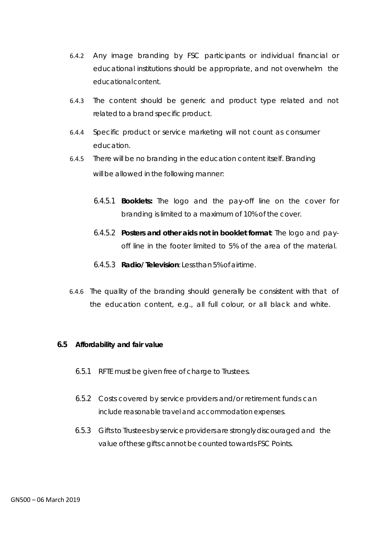- 6.4.2 Any image branding by FSC participants or individual financial or educational institutions should be appropriate, and not overwhelm the educationalcontent.
- 6.4.3 The content should be generic and product type related and not related to a brand specific product.
- 6.4.4 Specific product or service marketing will not count as consumer education.
- 6.4.5 There will be no branding in the education content itself. Branding will be allowed in the following manner:
	- 6.4.5.1 **Booklets:** The logo and the pay-off line on the cover for branding is limited to a maximum of 10% of the cover.
	- 6.4.5.2 **Posters and other aids not in booklet format**: The logo and payoff line in the footer limited to 5% of the area of the material.
	- 6.4.5.3 **Radio/ Television**: Lessthan5%ofairtime.
- 6.4.6 The quality of the branding should generally be consistent with that of the education content, e.g., all full colour, or all black and white.

### **6.5 Affordability and fair value**

- 6.5.1 RFTE must be given free of charge to Trustees.
- 6.5.2 Costs covered by service providers and/or retirement funds can include reasonable travel and accommodation expenses.
- 6.5.3 Gifts to Trustees by service providers are strongly discouraged and the value of these gifts cannot be counted towards FSC Points.